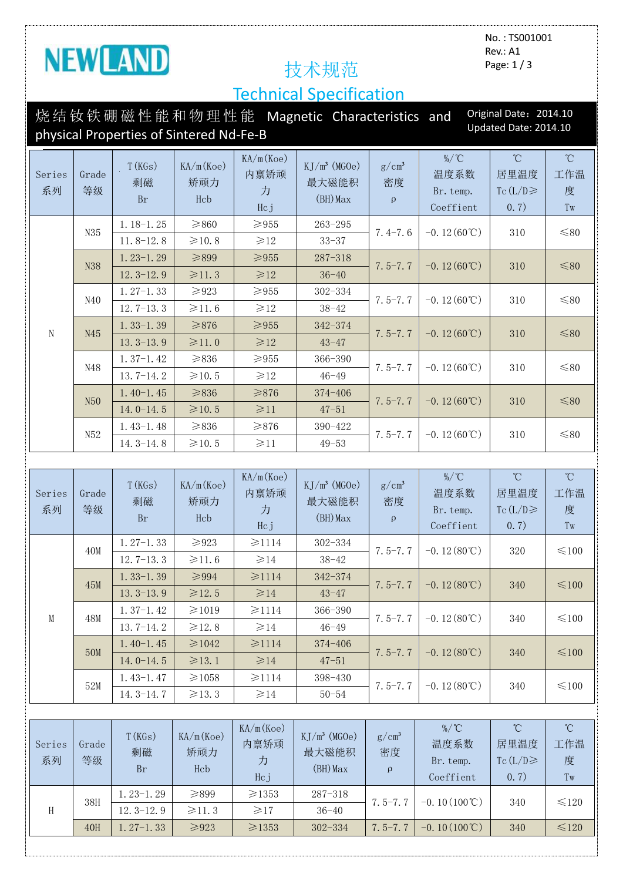

52M

No. : TS001001 Rev.: A1 Page: 1 / 3

7.5-7.7  $\Big|$  -0.12(80°C) 340  $\Big|$   $\leq 100$ 

## Technical Specification

| Original Date: 2014.10<br>烧结钕铁硼磁性能和物理性能 Magnetic Characteristics and<br>Updated Date: 2014.10<br>physical Properties of Sintered Nd-Fe-B |                              |                           |                         |                               |                                        |                                |                                            |                                               |                                                    |  |
|------------------------------------------------------------------------------------------------------------------------------------------|------------------------------|---------------------------|-------------------------|-------------------------------|----------------------------------------|--------------------------------|--------------------------------------------|-----------------------------------------------|----------------------------------------------------|--|
| Series<br>系列                                                                                                                             | Grade<br>等级                  | T(KGs)<br>剩磁<br><b>Br</b> | KA/m(Koe)<br>矫顽力<br>Hcb | KA/m(Koe)<br>内禀矫顽<br>力<br>Hcj | $KJ/m^3$ (MGOe)<br>最大磁能积<br>$(BH)$ Max | $g/cm^3$<br>密度<br>$\mathbf{q}$ | $\%$ /°C<br>温度系数<br>Br. temp.<br>Coeffient | $\rm ^{\circ}C$<br>居里温度<br>Tc $(L/D)$<br>0.7) | $\rm ^{\circ}C$<br>工作温<br>度<br>$\operatorname{Tw}$ |  |
|                                                                                                                                          | N35                          | $1.18 - 1.25$             | $\geq 860$              | $\geqslant$ 955               | $263 - 295$                            | $7.4 - 7.6$                    | $-0.12(60^{\circ}\text{C})$                | 310                                           | $\leq 80$                                          |  |
|                                                                                                                                          |                              | $11.8 - 12.8$             | ≥10.8                   | $\geq 12$                     | $33 - 37$                              |                                |                                            |                                               |                                                    |  |
|                                                                                                                                          | N38                          | $1.23 - 1.29$             | $\geq 899$              | $\geq 955$                    | $287 - 318$                            | $7.5 - 7.7$                    | $-0.12(60^{\circ}\text{C})$                | 310                                           | $≤ 80$                                             |  |
|                                                                                                                                          |                              | $12.3 - 12.9$             | $\geq 11.3$             | $\geq 12$                     | $36 - 40$                              |                                |                                            |                                               |                                                    |  |
|                                                                                                                                          | N40                          | $1.27-1.33$               | $\geqslant$ 923         | $\geq 955$                    | 302-334                                | $7.5 - 7.7$                    | $-0.12(60^{\circ}\text{C})$                | 310                                           | $\leq 80$                                          |  |
|                                                                                                                                          |                              | $12.7 - 13.3$             | $\geqslant$ 11.6        | $\geq 12$                     | $38 - 42$                              |                                |                                            |                                               |                                                    |  |
| N                                                                                                                                        | N45                          | $1.33 - 1.39$             | $\geq 876$              | $\geq 955$                    | 342-374                                | $7.5 - 7.7$                    | $-0.12(60^{\circ}\text{C})$                | 310                                           | $≤ 80$                                             |  |
|                                                                                                                                          |                              | $13.3 - 13.9$             | $\geq 11.0$             | $\geq 12$                     | $43 - 47$                              |                                |                                            |                                               |                                                    |  |
|                                                                                                                                          | N48                          | $1.37-1.42$               | $\geq 836$              | $\geqslant$ 955               | 366-390                                | $7.5 - 7.7$                    | $-0.12(60^{\circ}\text{C})$                | 310                                           | $\leq 80$                                          |  |
|                                                                                                                                          |                              | $13.7 - 14.2$             | ≥10.5                   | $\geq 12$                     | $46 - 49$                              |                                |                                            |                                               |                                                    |  |
|                                                                                                                                          | N <sub>50</sub>              | $1.40 - 1.45$             | $≥836$                  | $≥876$                        | 374-406                                | $7.5 - 7.7$                    | $-0.12(60^{\circ}\text{C})$                | 310                                           | ${\leq}80$                                         |  |
|                                                                                                                                          |                              | $14.0 - 14.5$             | ≥10.5                   | $\geq 11$                     | $47 - 51$                              |                                |                                            |                                               |                                                    |  |
|                                                                                                                                          | N52                          | $1.43-1.48$               | $\geq 836$              | $\geq 876$                    | 390-422                                | $7.5 - 7.7$                    | $-0.12(60^{\circ}\text{C})$                | 310                                           | ${\leq}80$                                         |  |
|                                                                                                                                          |                              | $14.3 - 14.8$             | $\geqslant$ 10.5        | $\geq 11$                     | $49 - 53$                              |                                |                                            |                                               |                                                    |  |
|                                                                                                                                          |                              |                           |                         |                               |                                        |                                |                                            |                                               |                                                    |  |
| Series<br>系列                                                                                                                             | Grade<br>等级                  | T(KGs)<br>剩磁<br><b>Br</b> | KA/m(Koe)<br>矫顽力<br>Hcb | KA/m(Koe)<br>内禀矫顽<br>力<br>Hcj | $KJ/m^3$ (MGOe)<br>最大磁能积<br>$(BH)$ Max | $g/cm^3$<br>密度<br>$\Omega$     | %/°C<br>温度系数<br>Br. temp.<br>Coeffient     | $\rm ^{\circ}C$<br>居里温度<br>Tc(L/D)<br>0.7)    | $\overline{C}$<br>工作温<br>度<br>Tw                   |  |
|                                                                                                                                          | 40M                          | $1.27-1.33$               | ${\geq}923$             | $\geq 1114$                   | $302 - 334$                            | $7.5 - 7.7$                    | $-0.12(80^{\circ}\text{C})$                | 320                                           | $\leq 100$                                         |  |
| M                                                                                                                                        |                              | $12.7 - 13.3$             | ≥11.6                   | $\geq 14$                     | $38 - 42$                              |                                |                                            |                                               |                                                    |  |
|                                                                                                                                          | 45M                          | $1.33-1.39$               | $\geq 994$              | $\geq 1114$                   | 342-374                                | $7.5 - 7.7$                    | $-0.12(80^{\circ}\text{C})$                | 340                                           | ${\leq}100$                                        |  |
|                                                                                                                                          |                              | $13.3 - 13.9$             | ≥12.5                   | $\geq 14$                     | $43 - 47$                              |                                |                                            |                                               |                                                    |  |
|                                                                                                                                          | 48M                          | $1.37-1.42$               | $\geq 1019$             | $\geq 1114$                   | 366-390                                | $7.5 - 7.7$                    | $-0.12(80^{\circ}\text{C})$                | 340                                           | $\leq 100$                                         |  |
|                                                                                                                                          |                              | $13.7 - 14.2$             | $\geqslant$ 12.8        | $\geq 14$                     | $46 - 49$                              |                                |                                            |                                               |                                                    |  |
|                                                                                                                                          | 50 <sub>M</sub>              | $1.40-1.45$               | ≥1042                   | $\geq 1114$                   | 374-406                                | $7.5 - 7.7$                    | $-0.12(80^{\circ}\text{C})$                | 340                                           | ${\leq}100$                                        |  |
|                                                                                                                                          |                              | $14.0 - 14.5$             | $\geq 13.1$             | $\geq 14$                     | $47 - 51$                              |                                |                                            |                                               |                                                    |  |
|                                                                                                                                          | $\overline{\Gamma}$ $\Omega$ | $1.43-1.47$               | ≥1058                   | $\geq 1114$                   | 398-430                                |                                | 10/00                                      | 0.44                                          |                                                    |  |

| Series<br>系列 | Grade<br>等级 | T(KGs)<br>剩磁<br>Br | KA/m(Koe)<br>矫顽力<br>Hcb | KA/m(Koe)<br>内禀矫顽<br>力<br>Hcj | $KJ/m^3$ (MGOe)<br>最大磁能积<br>$(BH)$ Max | $g/cm^3$<br>密度<br>$\mathbf{Q}$ | %/ $^{\circ}$ C<br>温度系数<br>Br. temp.<br>Coeffient | $^{\circ}\!C$<br>居里温度<br>Tc $(L/D)$<br>0.7) | $^{\circ}$ C<br>工作温<br>度<br>Tw |
|--------------|-------------|--------------------|-------------------------|-------------------------------|----------------------------------------|--------------------------------|---------------------------------------------------|---------------------------------------------|--------------------------------|
|              | 38H         | 1.23–1.29          | $\geq 899$              | $\geq$ 1353                   | $287 - 318$                            | $7.5 - 7.7$                    | $-0.10(100^{\circ}\text{C})$                      | 340                                         | $\leq 120$                     |
| H            |             | $12.3 - 12.9$      | $\geq 11.3$             | $\geq 17$                     | $36 - 40$                              |                                |                                                   |                                             |                                |
|              | 40H         | $1.27-1.33$        | $\geq 923$              | $\geq$ 1353                   | $302 - 334$                            | $7.5 - 7.7$                    | $-0.10(100^{\circ}\text{C})$                      | 340                                         | $\leq 120$                     |

 $14.3-14.7$   $\geq 13.3$   $\geq 14$  50-54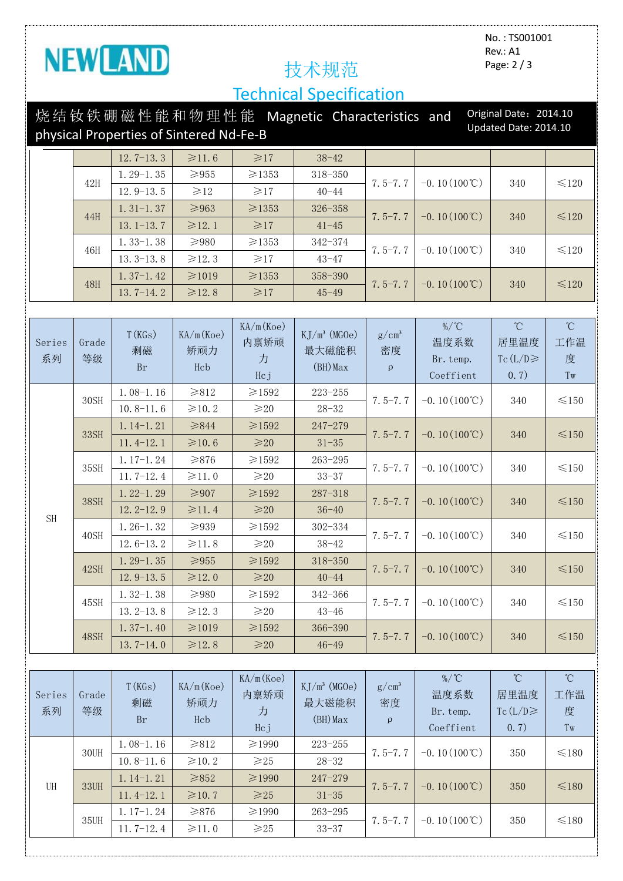

No. : TS001001 Rev.: A1 Page: 2 / 3

# Technical Specification

|                                                                  |             |                            |                         |                               | 烧结钕铁硼磁性能和物理性能 Magnetic Characteristics and |                               |                                                              | Original Date: 2014.10                     |                                     |
|------------------------------------------------------------------|-------------|----------------------------|-------------------------|-------------------------------|--------------------------------------------|-------------------------------|--------------------------------------------------------------|--------------------------------------------|-------------------------------------|
| Updated Date: 2014.10<br>physical Properties of Sintered Nd-Fe-B |             |                            |                         |                               |                                            |                               |                                                              |                                            |                                     |
|                                                                  |             | $12.7 - 13.3$              | $\geqslant$ 11.6        | $\geq 17$                     | $38 - 42$                                  |                               |                                                              |                                            |                                     |
|                                                                  |             | $1.29-1.35$                | $\geq 955$              | ≥1353                         | 318-350                                    |                               |                                                              |                                            |                                     |
|                                                                  | 42H         | $12.9 - 13.5$              | $\geq 12$               | $\geq 17$                     | $40 - 44$                                  | $7.5 - 7.7$                   | $-0.10(100^{\circ}\text{C})$                                 | 340                                        | $\leq 120$                          |
|                                                                  |             | $1.31 - 1.37$              | $\geq 963$              | ≥1353                         | 326-358                                    |                               |                                                              |                                            |                                     |
|                                                                  | 44H         | $13.1 - 13.7$              | $\geq 12.1$             | $\geq 17$                     | $41 - 45$                                  | $7.5 - 7.7$                   | $-0.10(100^{\circ}\text{C})$                                 | 340                                        | $≤120$                              |
|                                                                  |             | $1.33 - 1.38$              | $\geqslant$ 980         | ≥1353                         | 342-374                                    |                               |                                                              |                                            |                                     |
|                                                                  | 46H         | $13.3 - 13.8$              | $\geqslant$ 12.3        | $\geqslant$ 17                | $43 - 47$                                  | $7.5 - 7.7$                   | $-0.10(100^{\circ}\text{C})$                                 | 340                                        | $\leq 120$                          |
|                                                                  |             | $1.37-1.42$                | ≥1019                   | ≥1353                         | 358-390                                    |                               |                                                              |                                            |                                     |
|                                                                  | <b>48H</b>  | $13.7 - 14.2$              | $\geq 12.8$             | $\geq 17$                     | $45 - 49$                                  | $7.5 - 7.7$                   | $-0.10(100^{\circ}\text{C})$                                 | 340                                        | $≤120$                              |
|                                                                  |             |                            |                         |                               |                                            |                               |                                                              |                                            |                                     |
| Series<br>系列                                                     | Grade<br>等级 | T(KGs)<br>剩磁<br><b>Br</b>  | KA/m(Koe)<br>矫顽力<br>Hcb | KA/m(Koe)<br>内禀矫顽<br>力        | $KJ/m^3$ (MGOe)<br>最大磁能积<br>$(BH)$ Max     | $g/cm^3$<br>密度<br>$\mathbf q$ | %/°C<br>温度系数<br>Br. temp.                                    | $^{\circ}$ C<br>居里温度<br>Tc(L/D)            | $^{\circ}$ C<br>工作温<br>度            |
|                                                                  |             |                            |                         | Hcj                           |                                            |                               | Coeffient                                                    | 0.7)                                       | Tw                                  |
|                                                                  | 30SH        | $1.08 - 1.16$              | $\geq 812$              | $\geqslant$ 1592              | $223 - 255$                                | $7.5 - 7.7$<br>$7.5 - 7.7$    | $-0.10(100^{\circ}\text{C})$<br>$-0.10(100^{\circ}\text{C})$ | 340<br>340                                 | $\leq$ 150<br>$≤150$                |
|                                                                  |             | $10.8 - 11.6$              | $\geqslant$ 10.2        | $\geqslant$ 20                | $28 - 32$                                  |                               |                                                              |                                            |                                     |
|                                                                  | 33SH        | $1.14-1.21$                | $≥ 844$                 | $\geq 1592$                   | $247 - 279$                                |                               |                                                              |                                            |                                     |
|                                                                  | 35SH        | $11.4-12.1$<br>$1.17-1.24$ | ≥10.6<br>$\geq 876$     | $\geq 20$                     | $31 - 35$<br>$263 - 295$                   | $7.5 - 7.7$                   | $-0.10(100^{\circ}\text{C})$                                 | 340                                        |                                     |
|                                                                  |             | $11.7-12.4$                | $\geqslant$ 11.0        | $\geq$ 1592<br>$\geqslant$ 20 | $33 - 37$                                  |                               |                                                              |                                            | $\leq 150$                          |
|                                                                  |             | $1.22 - 1.29$              | $\geqslant$ 907         | $≥1592$                       | $287 - 318$                                | $7.5 - 7.7$                   | $-0.10(100^{\circ}\text{C})$                                 | 340                                        | $≤150$                              |
|                                                                  | <b>38SH</b> | $12.2 - 12.9$              | $\geq 11.4$             | $\geqslant$ 20                | $36 - 40$                                  |                               |                                                              |                                            |                                     |
| <b>SH</b>                                                        | 40SH        | $1.26 - 1.32$              | $\geq 939$              | $≥1592$                       | 302-334                                    |                               |                                                              | 340                                        |                                     |
|                                                                  |             | $12.6 - 13.2$              | $\geqslant$ 11.8        | $\geqslant$ 20                | $38 - 42$                                  | $7.5 - 7.7$                   | $-0.10(100^{\circ}\text{C})$                                 |                                            | $\leq$ 150                          |
|                                                                  | 42SH        | $1.29-1.35$                | ${\geq}955$             | ≥1592                         | 318-350                                    | $7.5 - 7.7$                   | $-0.10(100^{\circ}\text{C})$                                 | 340                                        | $\leq 150$                          |
|                                                                  |             | $12.9 - 13.5$              | $\geq 12.0$             | $\geq 20$                     | $40 - 44$                                  |                               |                                                              |                                            |                                     |
|                                                                  | 45SH        | $1.32 - 1.38$              | $\geqslant$ 980         | $≥1592$                       | $342 - 366$                                | $7.5 - 7.7$                   | $-0.10(100^{\circ}\text{C})$                                 | 340                                        | ${\leq}150$                         |
|                                                                  |             | $13.2 - 13.8$              | ≥12.3                   | $\geqslant$ 20                | $43 - 46$                                  |                               |                                                              |                                            |                                     |
|                                                                  | 48SH        | $1.37-1.40$                | $\geq 1019$             | $\geq 1592$                   | 366-390                                    | $7.5 - 7.7$                   | $-0.10(100^{\circ}\text{C})$                                 | 340                                        | $≤150$                              |
|                                                                  |             | $13.7 - 14.0$              | $\geqslant$ 12.8        | $\geq 20$                     | $46 - 49$                                  |                               |                                                              |                                            |                                     |
|                                                                  |             |                            |                         |                               |                                            |                               |                                                              |                                            |                                     |
| Series<br>系列                                                     | Grade<br>等级 | T(KGs)<br>剩磁<br><b>Br</b>  | KA/m(Koe)<br>矫顽力<br>Hcb | KA/m(Koe)<br>内禀矫顽<br>力<br>Hcj | $KJ/m^3$ (MGOe)<br>最大磁能积<br>$(BH)$ Max     | $g/cm^3$<br>密度<br>$\Omega$    | %/°C<br>温度系数<br>Br. temp.<br>Coeffient                       | $^{\circ}$ C<br>居里温度<br>Tc $(L/D)$<br>0.7) | $^\circ\!{\rm C}$<br>工作温<br>度<br>Tw |
|                                                                  | 30UH        | $1.08-1.16$                | $\geq 812$              | ≥1990                         | $223 - 255$                                | $7.5 - 7.7$                   | $-0.10(100^{\circ}\text{C})$                                 | 350                                        | $≤180$                              |
|                                                                  |             | $10.8 - 11.6$              | $\geq 10.2$             | $\geqslant$ 25                | $28 - 32$                                  |                               |                                                              |                                            |                                     |
| $\mathop{\rm UH}\nolimits$                                       | 33UH        | $1.14-1.21$                | $\geq 852$              | $≥1990$                       | $247 - 279$                                | $7.5 - 7.7$                   | $-0.10(100^{\circ}\text{C})$                                 | 350                                        | $≤180$                              |
|                                                                  |             | $11.4-12.1$                | ≥10.7                   | $\geqslant$ 25                | $31 - 35$                                  |                               |                                                              |                                            |                                     |
|                                                                  | 35UH        | $1.17-1.24$                | ${\geqslant}876$        | ≥1990                         | $263 - 295$                                | $7.5 - 7.7$                   | $-0.10(100^{\circ}\text{C})$                                 | 350                                        | $≤180$                              |
|                                                                  |             | $11.7-12.4$                | $\geq 11.0$             | $\geqslant$ 25                | $33 - 37$                                  |                               |                                                              |                                            |                                     |